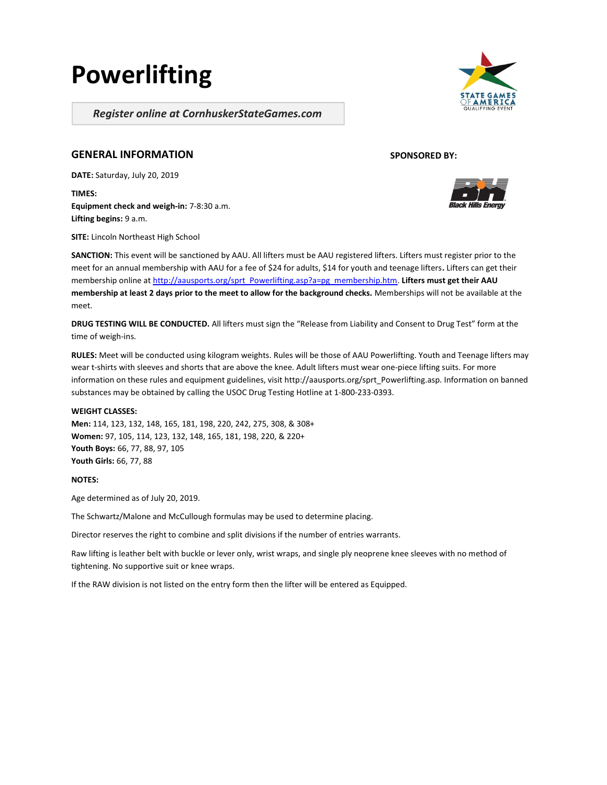# Powerlifting

Register online at CornhuskerStateGames.com

# GENERAL INFORMATION

DATE: Saturday, July 20, 2019

TIMES: Equipment check and weigh-in: 7-8:30 a.m. Lifting begins: 9 a.m.

SITE: Lincoln Northeast High School

SPONSORED BY:



SANCTION: This event will be sanctioned by AAU. All lifters must be AAU registered lifters. Lifters must register prior to the meet for an annual membership with AAU for a fee of \$24 for adults, \$14 for youth and teenage lifters. Lifters can get their membership online at http://aausports.org/sprt\_Powerlifting.asp?a=pg\_membership.htm. Lifters must get their AAU membership at least 2 days prior to the meet to allow for the background checks. Memberships will not be available at the meet.

DRUG TESTING WILL BE CONDUCTED. All lifters must sign the "Release from Liability and Consent to Drug Test" form at the time of weigh-ins.

RULES: Meet will be conducted using kilogram weights. Rules will be those of AAU Powerlifting. Youth and Teenage lifters may wear t-shirts with sleeves and shorts that are above the knee. Adult lifters must wear one-piece lifting suits. For more information on these rules and equipment guidelines, visit http://aausports.org/sprt\_Powerlifting.asp. Information on banned substances may be obtained by calling the USOC Drug Testing Hotline at 1-800-233-0393.

#### WEIGHT CLASSES:

Men: 114, 123, 132, 148, 165, 181, 198, 220, 242, 275, 308, & 308+ Women: 97, 105, 114, 123, 132, 148, 165, 181, 198, 220, & 220+ Youth Boys: 66, 77, 88, 97, 105 Youth Girls: 66, 77, 88

NOTES:

Age determined as of July 20, 2019.

The Schwartz/Malone and McCullough formulas may be used to determine placing.

Director reserves the right to combine and split divisions if the number of entries warrants.

Raw lifting is leather belt with buckle or lever only, wrist wraps, and single ply neoprene knee sleeves with no method of tightening. No supportive suit or knee wraps.

If the RAW division is not listed on the entry form then the lifter will be entered as Equipped.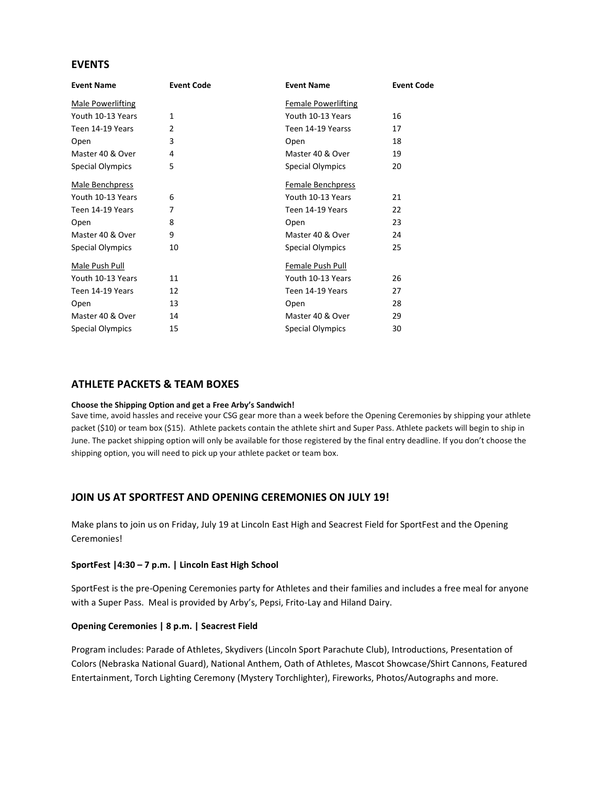# EVENTS

| <b>Event Code</b> | <b>Event Name</b>          | <b>Event Code</b> |
|-------------------|----------------------------|-------------------|
|                   | <b>Female Powerlifting</b> |                   |
| $\mathbf{1}$      | Youth 10-13 Years          | 16                |
| 2                 | Teen 14-19 Yearss          | 17                |
| 3                 | Open                       | 18                |
| 4                 | Master 40 & Over           | 19                |
| 5                 | Special Olympics           | 20                |
|                   | Female Benchpress          |                   |
| 6                 | Youth 10-13 Years          | 21                |
| 7                 | Teen 14-19 Years           | 22                |
| 8                 | Open                       | 23                |
| 9                 | Master 40 & Over           | 24                |
| 10                | Special Olympics           | 25                |
|                   | Female Push Pull           |                   |
| 11                | Youth 10-13 Years          | 26                |
| 12                | Teen 14-19 Years           | 27                |
| 13                | Open                       | 28                |
| 14                | Master 40 & Over           | 29                |
| 15                | <b>Special Olympics</b>    | 30                |
|                   |                            |                   |

## ATHLETE PACKETS & TEAM BOXES

#### Choose the Shipping Option and get a Free Arby's Sandwich!

Save time, avoid hassles and receive your CSG gear more than a week before the Opening Ceremonies by shipping your athlete packet (\$10) or team box (\$15). Athlete packets contain the athlete shirt and Super Pass. Athlete packets will begin to ship in June. The packet shipping option will only be available for those registered by the final entry deadline. If you don't choose the shipping option, you will need to pick up your athlete packet or team box.

## JOIN US AT SPORTFEST AND OPENING CEREMONIES ON JULY 19!

Make plans to join us on Friday, July 19 at Lincoln East High and Seacrest Field for SportFest and the Opening Ceremonies!

#### SportFest |4:30 – 7 p.m. | Lincoln East High School

SportFest is the pre-Opening Ceremonies party for Athletes and their families and includes a free meal for anyone with a Super Pass. Meal is provided by Arby's, Pepsi, Frito-Lay and Hiland Dairy.

### Opening Ceremonies | 8 p.m. | Seacrest Field

Program includes: Parade of Athletes, Skydivers (Lincoln Sport Parachute Club), Introductions, Presentation of Colors (Nebraska National Guard), National Anthem, Oath of Athletes, Mascot Showcase/Shirt Cannons, Featured Entertainment, Torch Lighting Ceremony (Mystery Torchlighter), Fireworks, Photos/Autographs and more.